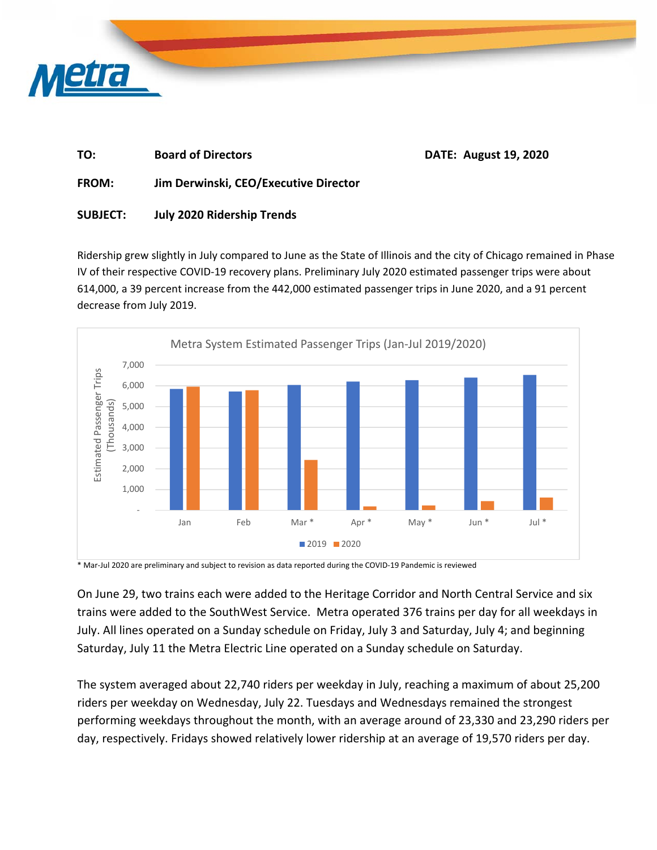

## **TO: Board of Directors DATE: August 19, 2020 FROM: Jim Derwinski, CEO/Executive Director**

## **SUBJECT: July 2020 Ridership Trends**

Ridership grew slightly in July compared to June as the State of Illinois and the city of Chicago remained in Phase IV of their respective COVID‐19 recovery plans. Preliminary July 2020 estimated passenger trips were about 614,000, a 39 percent increase from the 442,000 estimated passenger trips in June 2020, and a 91 percent decrease from July 2019.



\* Mar‐Jul 2020 are preliminary and subject to revision as data reported during the COVID‐19 Pandemic is reviewed

On June 29, two trains each were added to the Heritage Corridor and North Central Service and six trains were added to the SouthWest Service. Metra operated 376 trains per day for all weekdays in July. All lines operated on a Sunday schedule on Friday, July 3 and Saturday, July 4; and beginning Saturday, July 11 the Metra Electric Line operated on a Sunday schedule on Saturday.

The system averaged about 22,740 riders per weekday in July, reaching a maximum of about 25,200 riders per weekday on Wednesday, July 22. Tuesdays and Wednesdays remained the strongest performing weekdays throughout the month, with an average around of 23,330 and 23,290 riders per day, respectively. Fridays showed relatively lower ridership at an average of 19,570 riders per day.